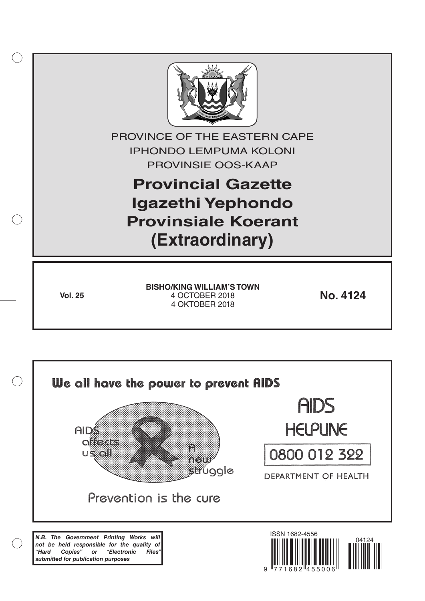

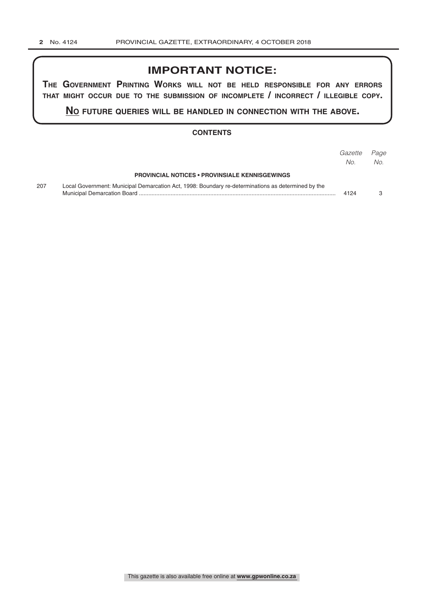# **IMPORTANT NOTICE:**

**The GovernmenT PrinTinG Works Will noT be held resPonsible for any errors ThaT miGhT occur due To The submission of incomPleTe / incorrecT / illeGible coPy.**

**no fuTure queries Will be handled in connecTion WiTh The above.**

#### **CONTENTS**

|     |                                                                                                    | Gazette Page<br>No. | No. |
|-----|----------------------------------------------------------------------------------------------------|---------------------|-----|
|     | <b>PROVINCIAL NOTICES • PROVINSIALE KENNISGEWINGS</b>                                              |                     |     |
| 207 | Local Government: Municipal Demarcation Act, 1998: Boundary re-determinations as determined by the | 4124                |     |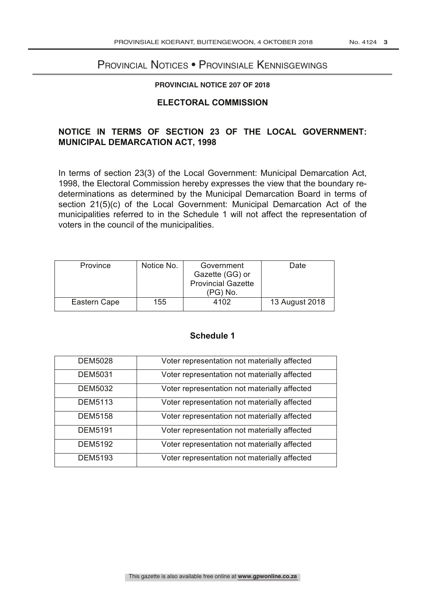# Provincial Notices • Provinsiale Kennisgewings

#### **PROVINCIAL NOTICE 207 OF 2018**

### **ELECTORAL COMMISSION**

## **NOTICE IN TERMS OF SECTION 23 OF THE LOCAL GOVERNMENT: MUNICIPAL DEMARCATION ACT, 1998**

In terms of section 23(3) of the Local Government: Municipal Demarcation Act, 1998, the Electoral Commission hereby expresses the view that the boundary redeterminations as determined by the Municipal Demarcation Board in terms of section 21(5)(c) of the Local Government: Municipal Demarcation Act of the municipalities referred to in the Schedule 1 will not affect the representation of voters in the council of the municipalities.

| <b>Province</b> | Notice No. | Government                | Date           |
|-----------------|------------|---------------------------|----------------|
|                 |            | Gazette (GG) or           |                |
|                 |            | <b>Provincial Gazette</b> |                |
|                 |            | (PG) No.                  |                |
| Eastern Cape    | 155        | 4102                      | 13 August 2018 |

### **Schedule 1**

| <b>DEM5028</b> | Voter representation not materially affected |
|----------------|----------------------------------------------|
| <b>DEM5031</b> | Voter representation not materially affected |
| <b>DEM5032</b> | Voter representation not materially affected |
| <b>DEM5113</b> | Voter representation not materially affected |
| <b>DEM5158</b> | Voter representation not materially affected |
| <b>DEM5191</b> | Voter representation not materially affected |
| <b>DEM5192</b> | Voter representation not materially affected |
| <b>DEM5193</b> | Voter representation not materially affected |